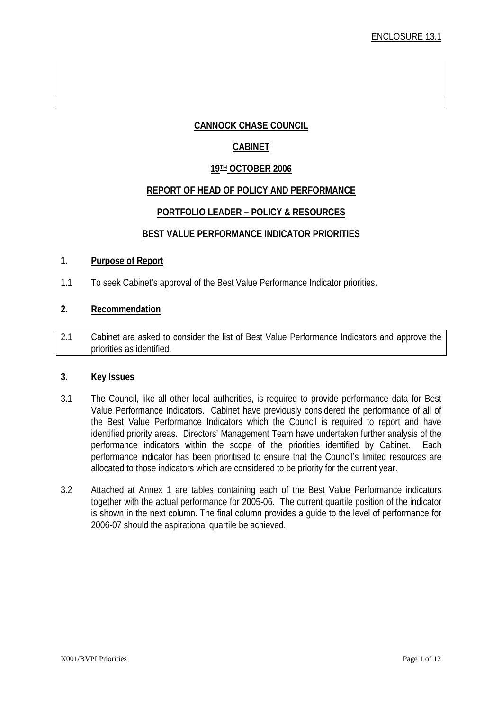#### **CANNOCK CHASE COUNCIL**

#### **CABINET**

#### **19TH OCTOBER 2006**

#### **REPORT OF HEAD OF POLICY AND PERFORMANCE**

#### **PORTFOLIO LEADER – POLICY & RESOURCES**

#### **BEST VALUE PERFORMANCE INDICATOR PRIORITIES**

#### **1. Purpose of Report**

1.1 To seek Cabinet's approval of the Best Value Performance Indicator priorities.

#### **2. Recommendation**

2.1 Cabinet are asked to consider the list of Best Value Performance Indicators and approve the priorities as identified.

#### **3. Key Issues**

- 3.1 The Council, like all other local authorities, is required to provide performance data for Best Value Performance Indicators. Cabinet have previously considered the performance of all of the Best Value Performance Indicators which the Council is required to report and have identified priority areas. Directors' Management Team have undertaken further analysis of the performance indicators within the scope of the priorities identified by Cabinet. Each performance indicator has been prioritised to ensure that the Council's limited resources are allocated to those indicators which are considered to be priority for the current year.
- 3.2 Attached at Annex 1 are tables containing each of the Best Value Performance indicators together with the actual performance for 2005-06. The current quartile position of the indicator is shown in the next column. The final column provides a guide to the level of performance for 2006-07 should the aspirational quartile be achieved.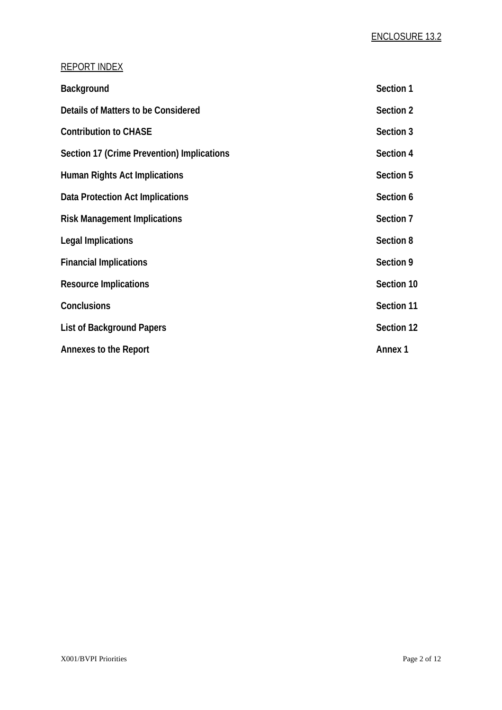### REPORT INDEX

| Background                                 | Section 1      |
|--------------------------------------------|----------------|
| Details of Matters to be Considered        | Section 2      |
| <b>Contribution to CHASE</b>               | Section 3      |
| Section 17 (Crime Prevention) Implications | Section 4      |
| <b>Human Rights Act Implications</b>       | Section 5      |
| Data Protection Act Implications           | Section 6      |
| <b>Risk Management Implications</b>        | Section 7      |
| <b>Legal Implications</b>                  | Section 8      |
| <b>Financial Implications</b>              | Section 9      |
| <b>Resource Implications</b>               | Section 10     |
| <b>Conclusions</b>                         | Section 11     |
| <b>List of Background Papers</b>           | Section 12     |
| <b>Annexes to the Report</b>               | <b>Annex 1</b> |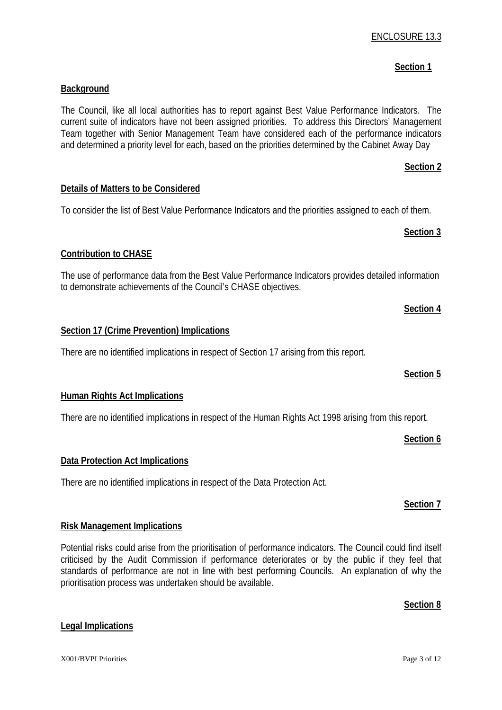# There are no identified implications in respect of the Data Protection Act.

**Risk Management Implications**

prioritisation process was undertaken should be available.

**Data Protection Act Implications**

# **Human Rights Act Implications**

There are no identified implications in respect of the Human Rights Act 1998 arising from this report.

Potential risks could arise from the prioritisation of performance indicators. The Council could find itself

**Details of Matters to be Considered**

**Background**

**Contribution to CHASE**

To consider the list of Best Value Performance Indicators and the priorities assigned to each of them.

The use of performance data from the Best Value Performance Indicators provides detailed information to demonstrate achievements of the Council's CHASE objectives.

The Council, like all local authorities has to report against Best Value Performance Indicators. The current suite of indicators have not been assigned priorities. To address this Directors' Management Team together with Senior Management Team have considered each of the performance indicators and determined a priority level for each, based on the priorities determined by the Cabinet Away Day

# **Section 17 (Crime Prevention) Implications**

There are no identified implications in respect of Section 17 arising from this report.

# ENCLOSURE 13.3

## **Section 1** Section 1

**Section 2**

 **Section 3**

 **Section 4**

# **Section 5**

 **Section 6**

### **Section 7**

#### **Section 8**

#### criticised by the Audit Commission if performance deteriorates or by the public if they feel that standards of performance are not in line with best performing Councils. An explanation of why the

**Legal Implications**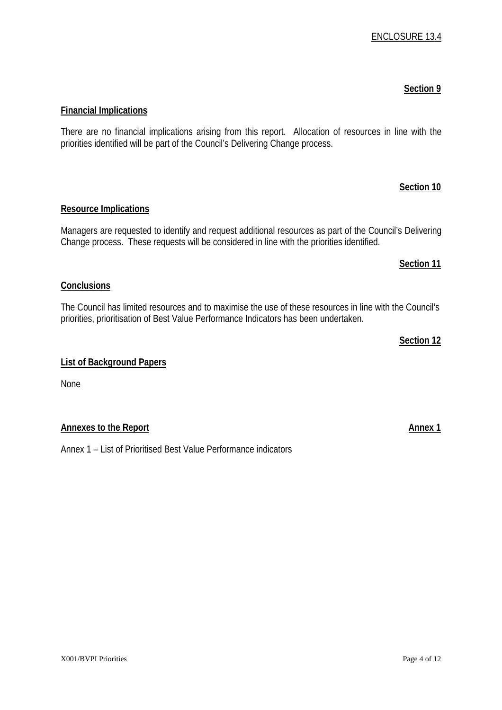# **Financial Implications**

There are no financial implications arising from this report. Allocation of resources in line with the priorities identified will be part of the Council's Delivering Change process.

#### **Resource Implications**

Managers are requested to identify and request additional resources as part of the Council's Delivering Change process. These requests will be considered in line with the priorities identified.

#### **Conclusions**

The Council has limited resources and to maximise the use of these resources in line with the Council's priorities, prioritisation of Best Value Performance Indicators has been undertaken.

 **Section 12** 

#### **List of Background Papers**

None

#### **Annexes to the Report Annex 1**

Annex 1 – List of Prioritised Best Value Performance indicators

#### ENCLOSURE 13.4

### **Example 20** Section 10 Section 10

 **Section 11**

 **Section 9**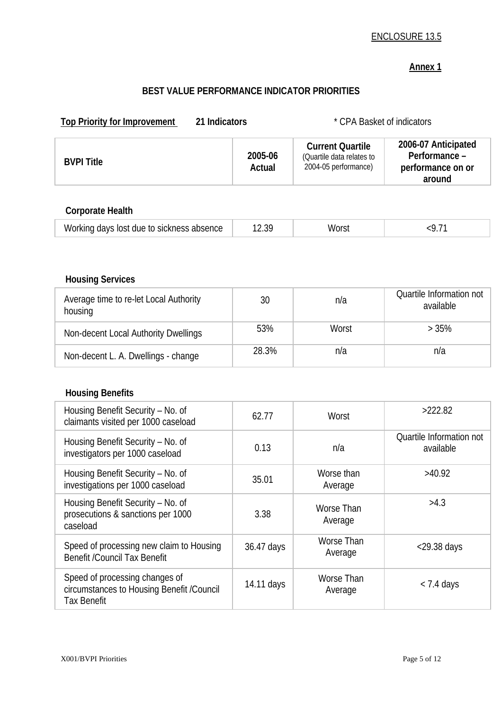#### ENCLOSURE 13.5

### **Annex 1**

# **BEST VALUE PERFORMANCE INDICATOR PRIORITIES**

|                   |                   |                                                                              | * CPA Basket of indicators                                          |
|-------------------|-------------------|------------------------------------------------------------------------------|---------------------------------------------------------------------|
| <b>BVPI Title</b> | 2005-06<br>Actual | <b>Current Quartile</b><br>(Quartile data relates to<br>2004-05 performance) | 2006-07 Anticipated<br>Performance -<br>performance on or<br>around |

# **Corporate Health**

| lost<br>davs<br>) sickness<br>≙ f∩∴<br>due.<br>w<br>'Sence<br>$\sim$ | ____ | w | the contract of the contract of the |
|----------------------------------------------------------------------|------|---|-------------------------------------|
|----------------------------------------------------------------------|------|---|-------------------------------------|

# **Housing Services**

| Average time to re-let Local Authority<br>housing | 30    | n/a   | Quartile Information not<br>available |
|---------------------------------------------------|-------|-------|---------------------------------------|
| Non-decent Local Authority Dwellings              | 53%   | Worst | >35%                                  |
| Non-decent L. A. Dwellings - change               | 28.3% | n/a   | n/a                                   |

### **Housing Benefits**

| Housing Benefit Security - No. of<br>claimants visited per 1000 caseload                          | 62.77      | Worst                 | >222.82                               |
|---------------------------------------------------------------------------------------------------|------------|-----------------------|---------------------------------------|
| Housing Benefit Security - No. of<br>investigators per 1000 caseload                              | 0.13       | n/a                   | Quartile Information not<br>available |
| Housing Benefit Security - No. of<br>investigations per 1000 caseload                             | 35.01      | Worse than<br>Average | >40.92                                |
| Housing Benefit Security - No. of<br>prosecutions & sanctions per 1000<br>caseload                | 3.38       | Worse Than<br>Average | >4.3                                  |
| Speed of processing new claim to Housing<br><b>Benefit /Council Tax Benefit</b>                   | 36.47 days | Worse Than<br>Average | $<$ 29.38 days                        |
| Speed of processing changes of<br>circumstances to Housing Benefit /Council<br><b>Tax Benefit</b> | 14.11 days | Worse Than<br>Average | $<$ 7.4 days                          |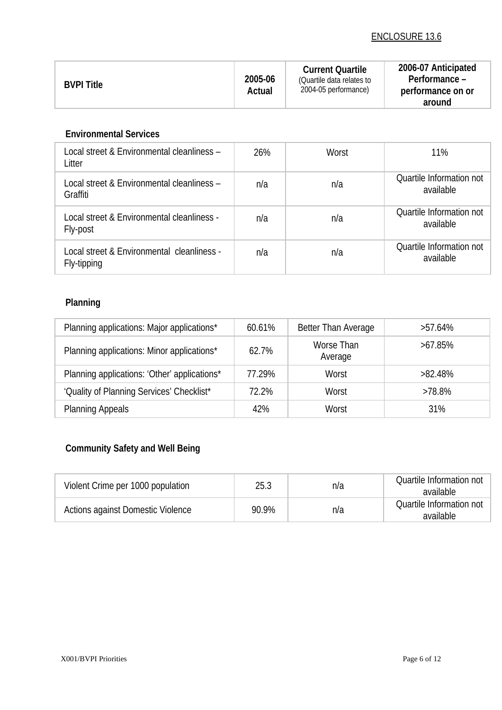### ENCLOSURE 13.6

| <b>BVPI Title</b> | 2005-06<br>Actual | <b>Current Quartile</b><br>(Quartile data relates to<br>2004-05 performance) | 2006-07 Anticipated<br>Performance -<br>performance on or<br>around |
|-------------------|-------------------|------------------------------------------------------------------------------|---------------------------------------------------------------------|
|-------------------|-------------------|------------------------------------------------------------------------------|---------------------------------------------------------------------|

#### **Environmental Services**

| Local street & Environmental cleanliness –<br>Litter      | 26% | Worst | 11%                                   |
|-----------------------------------------------------------|-----|-------|---------------------------------------|
| Local street & Environmental cleanliness –<br>Graffiti    | n/a | n/a   | Quartile Information not<br>available |
| Local street & Environmental cleanliness -<br>Fly-post    | n/a | n/a   | Quartile Information not<br>available |
| Local street & Environmental cleanliness -<br>Fly-tipping | n/a | n/a   | Quartile Information not<br>available |

# **Planning**

| Planning applications: Major applications*   | 60.61% | Better Than Average   | $>57.64\%$ |
|----------------------------------------------|--------|-----------------------|------------|
| Planning applications: Minor applications*   | 62.7%  | Worse Than<br>Average | $>67.85\%$ |
| Planning applications: 'Other' applications* | 77.29% | Worst                 | $>82.48\%$ |
| 'Quality of Planning Services' Checklist*    | 72.2%  | Worst                 | >78.8%     |
| <b>Planning Appeals</b>                      | 42%    | Worst                 | 31%        |

# **Community Safety and Well Being**

| Violent Crime per 1000 population | 25.3  | n/a | Quartile Information not<br>available |
|-----------------------------------|-------|-----|---------------------------------------|
| Actions against Domestic Violence | 90.9% | n/a | Quartile Information not<br>available |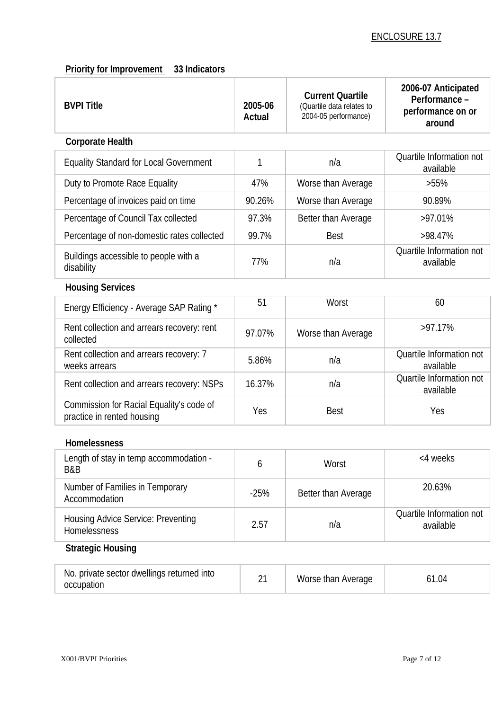### **Priority for Improvement** 33 Indicators

| <b>BVPI Title</b>                                                      | 2005-06<br>Actual | <b>Current Quartile</b><br>(Quartile data relates to<br>2004-05 performance) | 2006-07 Anticipated<br>Performance -<br>performance on or<br>around |
|------------------------------------------------------------------------|-------------------|------------------------------------------------------------------------------|---------------------------------------------------------------------|
| <b>Corporate Health</b>                                                |                   |                                                                              |                                                                     |
| <b>Equality Standard for Local Government</b>                          | 1                 | n/a                                                                          | Quartile Information not<br>available                               |
| Duty to Promote Race Equality                                          | 47%               | Worse than Average                                                           | $>55\%$                                                             |
| Percentage of invoices paid on time                                    | 90.26%            | Worse than Average                                                           | 90.89%                                                              |
| Percentage of Council Tax collected                                    | 97.3%             | Better than Average                                                          | >97.01%                                                             |
| Percentage of non-domestic rates collected                             | 99.7%             | <b>Best</b>                                                                  | >98.47%                                                             |
| Buildings accessible to people with a<br>disability                    | 77%               | n/a                                                                          | Quartile Information not<br>available                               |
| <b>Housing Services</b>                                                |                   |                                                                              |                                                                     |
| Energy Efficiency - Average SAP Rating *                               | 51                | Worst                                                                        | 60                                                                  |
| Rent collection and arrears recovery: rent<br>collected                | 97.07%            | Worse than Average                                                           | >97.17%                                                             |
| Rent collection and arrears recovery: 7<br>weeks arrears               | 5.86%             | n/a                                                                          | Quartile Information not<br>available                               |
| Rent collection and arrears recovery: NSPs                             | 16.37%            | n/a                                                                          | Quartile Information not<br>available                               |
| Commission for Racial Equality's code of<br>practice in rented housing | Yes               | <b>Best</b>                                                                  | Yes                                                                 |
| Homelessness                                                           |                   |                                                                              |                                                                     |
| Length of stay in temp accommodation -<br>B&B                          | 6                 | Worst                                                                        | <4 weeks                                                            |
| Number of Families in Temporary<br>Accommodation                       | $-25%$            | Better than Average                                                          | 20.63%                                                              |
| <b>Housing Advice Service: Preventing</b><br>Homelessness              | 2.57              | n/a                                                                          | Quartile Information not<br>available                               |
| <b>Strategic Housing</b>                                               |                   |                                                                              |                                                                     |
| No. private sector dwellings returned into<br>occupation               | 21                | Worse than Average                                                           | 61.04                                                               |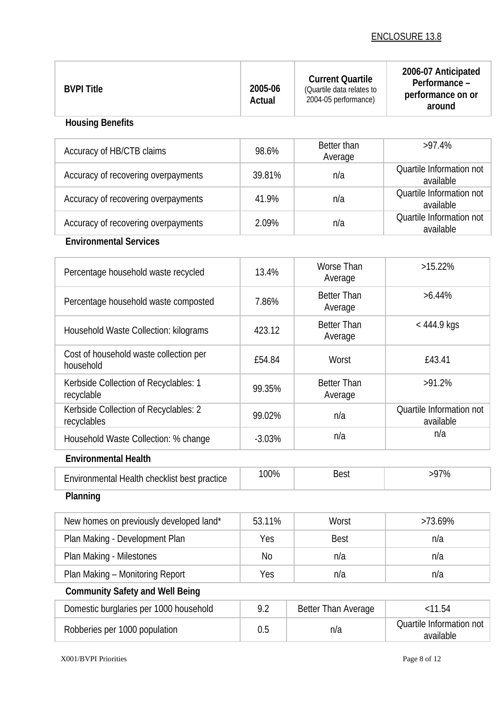| <b>BVPI Title</b>                                    | 2005-06<br>Actual | <b>Current Quartile</b><br>(Quartile data relates to<br>2004-05 performance) | 2006-07 Anticipated<br>Performance -<br>performance on or<br>around |
|------------------------------------------------------|-------------------|------------------------------------------------------------------------------|---------------------------------------------------------------------|
| <b>Housing Benefits</b>                              |                   |                                                                              |                                                                     |
| Accuracy of HB/CTB claims                            | 98.6%             | Better than<br>Average                                                       | $>97.4\%$                                                           |
| Accuracy of recovering overpayments                  | 39.81%            | n/a                                                                          | Quartile Information not<br>available                               |
| Accuracy of recovering overpayments                  | 41.9%             | n/a                                                                          | Quartile Information not<br>available                               |
| Accuracy of recovering overpayments                  | 2.09%             | n/a                                                                          | Quartile Information not<br>available                               |
| <b>Environmental Services</b>                        |                   |                                                                              |                                                                     |
| Percentage household waste recycled                  | 13.4%             | Worse Than<br>Average                                                        | $>15.22\%$                                                          |
| Percentage household waste composted                 | 7.86%             | <b>Better Than</b><br>Average                                                | $>6.44\%$                                                           |
| Household Waste Collection: kilograms                | 423.12            | <b>Better Than</b><br>Average                                                | $< 444.9$ kgs                                                       |
| Cost of household waste collection per<br>household  | £54.84            | Worst                                                                        | £43.41                                                              |
| Kerbside Collection of Recyclables: 1<br>recyclable  | 99.35%            | <b>Better Than</b><br>Average                                                | >91.2%                                                              |
| Kerbside Collection of Recyclables: 2<br>recyclables | 99.02%            | n/a                                                                          | Quartile Information not<br>available                               |
| Household Waste Collection: % change                 | $-3.03%$          | n/a                                                                          | n/a                                                                 |
| <b>Environmental Health</b>                          |                   |                                                                              |                                                                     |
| Environmental Health checklist best practice         | 100%              | <b>Best</b>                                                                  | $>97\%$                                                             |
| Planning                                             |                   |                                                                              |                                                                     |
| New homes on previously developed land*              | 53.11%            | Worst                                                                        | >73.69%                                                             |
| Plan Making - Development Plan                       | Yes               | <b>Best</b>                                                                  | n/a                                                                 |
| Plan Making - Milestones                             | N <sub>0</sub>    | n/a                                                                          | n/a                                                                 |
| Plan Making - Monitoring Report                      | Yes               | n/a                                                                          | n/a                                                                 |
| <b>Community Safety and Well Being</b>               |                   |                                                                              |                                                                     |
| Domestic burglaries per 1000 household               | 9.2               | Better Than Average                                                          | < 11.54                                                             |
| Robberies per 1000 population                        | 0.5               | n/a                                                                          | Quartile Information not<br>available                               |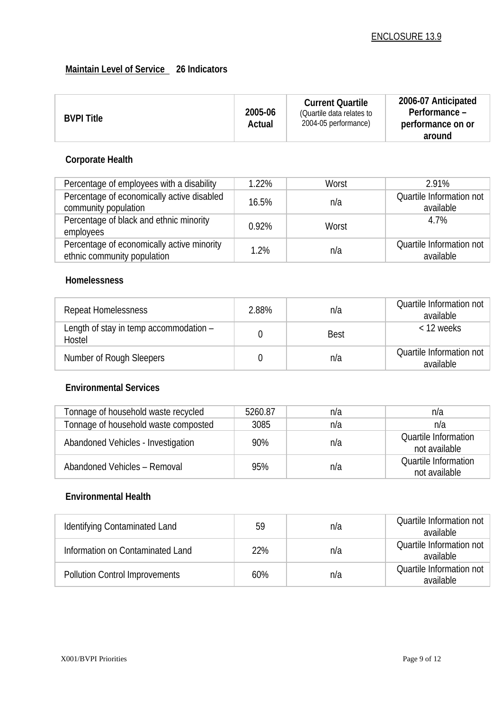### **Maintain Level of Service 26 Indicators**

| <b>BVPI Title</b> | 2005-06 | <b>Current Quartile</b><br>(Quartile data relates to | 2006-07 Anticipated<br>Performance – |
|-------------------|---------|------------------------------------------------------|--------------------------------------|
|                   | Actual  | 2004-05 performance)                                 | performance on or                    |
|                   |         |                                                      | around                               |

# **Corporate Health**

| Percentage of employees with a disability                                 | 1.22% | Worst | 2.91%                                 |
|---------------------------------------------------------------------------|-------|-------|---------------------------------------|
| Percentage of economically active disabled<br>community population        | 16.5% | n/a   | Quartile Information not<br>available |
| Percentage of black and ethnic minority<br>employees                      | 0.92% | Worst | 4.7%                                  |
| Percentage of economically active minority<br>ethnic community population | 1.2%  | n/a   | Quartile Information not<br>available |

#### **Homelessness**

| <b>Repeat Homelessness</b>                       | 2.88% | n/a         | Quartile Information not<br>available |
|--------------------------------------------------|-------|-------------|---------------------------------------|
| Length of stay in temp accommodation -<br>Hostel |       | <b>Best</b> | $<$ 12 weeks                          |
| Number of Rough Sleepers                         |       | n/a         | Quartile Information not<br>available |

#### **Environmental Services**

| Tonnage of household waste recycled  | 5260.87 | n/a | n/a                                          |
|--------------------------------------|---------|-----|----------------------------------------------|
| Tonnage of household waste composted | 3085    | n/a | n/a                                          |
| Abandoned Vehicles - Investigation   | 90%     | n/a | <b>Quartile Information</b><br>not available |
| Abandoned Vehicles - Removal         | 95%     | n/a | <b>Quartile Information</b><br>not available |

#### **Environmental Health**

| Identifying Contaminated Land         | 59  | n/a | Quartile Information not<br>available |
|---------------------------------------|-----|-----|---------------------------------------|
| Information on Contaminated Land      | 22% | n/a | Quartile Information not<br>available |
| <b>Pollution Control Improvements</b> | 60% | n/a | Quartile Information not<br>available |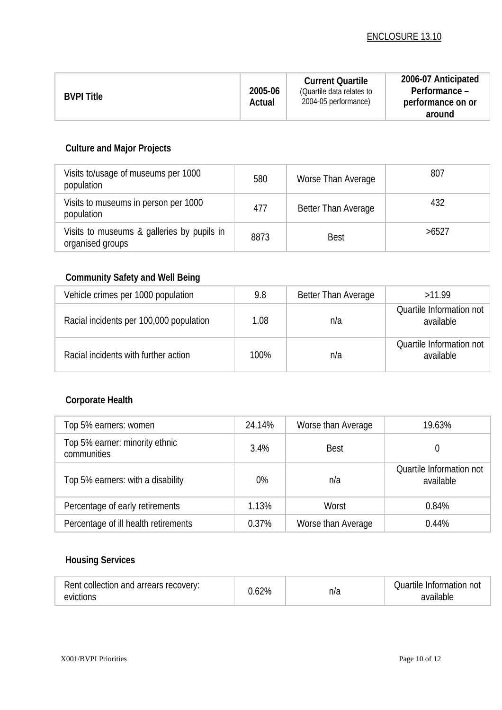| <b>BVPI Title</b> | 2005-06<br>Actual | <b>Current Quartile</b><br>(Quartile data relates to<br>2004-05 performance) | 2006-07 Anticipated<br>Performance -<br>performance on or<br>around |
|-------------------|-------------------|------------------------------------------------------------------------------|---------------------------------------------------------------------|
|-------------------|-------------------|------------------------------------------------------------------------------|---------------------------------------------------------------------|

# **Culture and Major Projects**

| Visits to/usage of museums per 1000<br>population              | 580  | Worse Than Average  | 807   |
|----------------------------------------------------------------|------|---------------------|-------|
| Visits to museums in person per 1000<br>population             | 477  | Better Than Average | 432   |
| Visits to museums & galleries by pupils in<br>organised groups | 8873 | <b>Best</b>         | >6527 |

# **Community Safety and Well Being**

| Vehicle crimes per 1000 population      | 9.8  | Better Than Average | >11.99                                |
|-----------------------------------------|------|---------------------|---------------------------------------|
| Racial incidents per 100,000 population | 1.08 | n/a                 | Quartile Information not<br>available |
| Racial incidents with further action    | 100% | n/a                 | Quartile Information not<br>available |

# **Corporate Health**

| Top 5% earners: women                         | 24.14% | Worse than Average | 19.63%                                |
|-----------------------------------------------|--------|--------------------|---------------------------------------|
| Top 5% earner: minority ethnic<br>communities | 3.4%   | <b>Best</b>        |                                       |
| Top 5% earners: with a disability             | 0%     | n/a                | Quartile Information not<br>available |
| Percentage of early retirements               | 1.13%  | Worst              | 0.84%                                 |
| Percentage of ill health retirements          | 0.37%  | Worse than Average | 0.44%                                 |

# **Housing Services**

| Rent collection and arrears recovery:<br>evictions | .62% | n/a | Quartile Information not<br>available |
|----------------------------------------------------|------|-----|---------------------------------------|
|----------------------------------------------------|------|-----|---------------------------------------|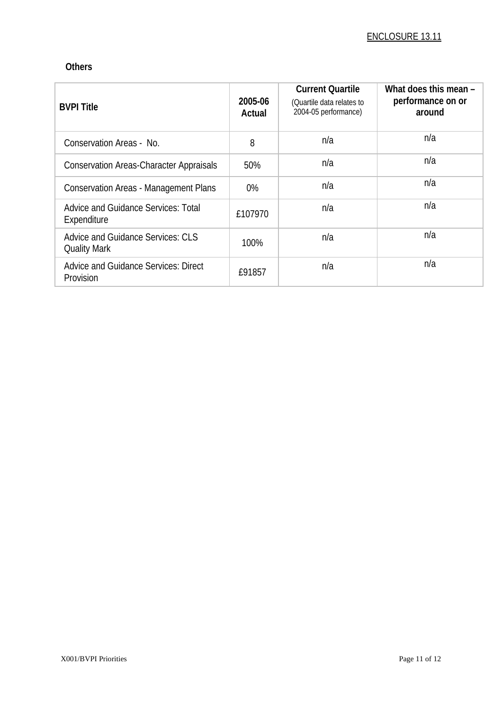#### **Others**

| <b>BVPI Title</b>                                               | 2005-06<br>Actual | <b>Current Quartile</b><br>(Quartile data relates to<br>2004-05 performance) | What does this mean -<br>performance on or<br>around |
|-----------------------------------------------------------------|-------------------|------------------------------------------------------------------------------|------------------------------------------------------|
| Conservation Areas - No.                                        | 8                 | n/a                                                                          | n/a                                                  |
| <b>Conservation Areas-Character Appraisals</b>                  | 50%               | n/a                                                                          | n/a                                                  |
| <b>Conservation Areas - Management Plans</b>                    | 0%                | n/a                                                                          | n/a                                                  |
| <b>Advice and Guidance Services: Total</b><br>Expenditure       | £107970           | n/a                                                                          | n/a                                                  |
| <b>Advice and Guidance Services: CLS</b><br><b>Quality Mark</b> | 100%              | n/a                                                                          | n/a                                                  |
| <b>Advice and Guidance Services: Direct</b><br>Provision        | £91857            | n/a                                                                          | n/a                                                  |